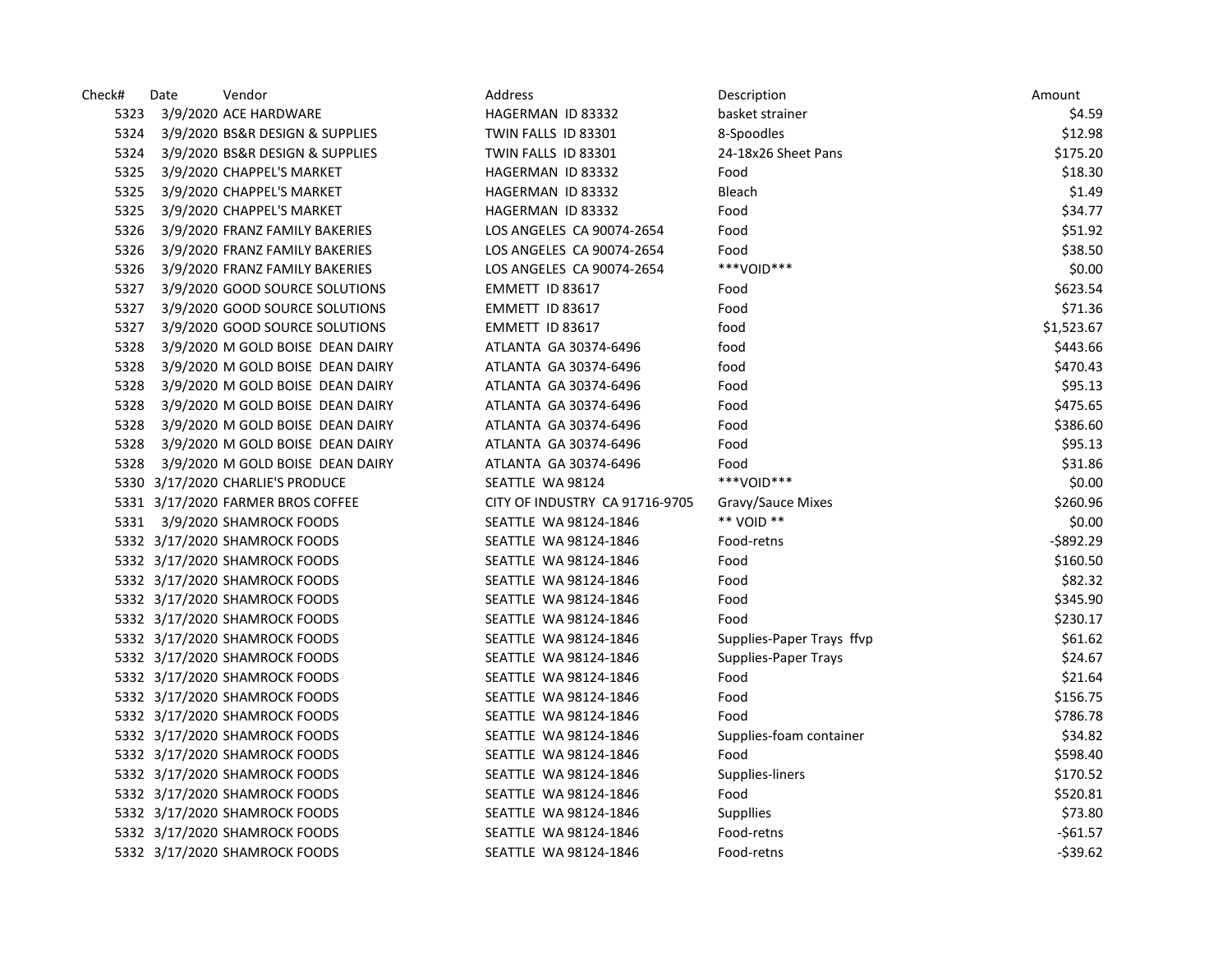| Check# | Date | Vendor                            | Address                        | Description               | Amount       |
|--------|------|-----------------------------------|--------------------------------|---------------------------|--------------|
| 5323   |      | 3/9/2020 ACE HARDWARE             | HAGERMAN ID 83332              | basket strainer           | \$4.59       |
| 5324   |      | 3/9/2020 BS&R DESIGN & SUPPLIES   | TWIN FALLS ID 83301            | 8-Spoodles                | \$12.98      |
| 5324   |      | 3/9/2020 BS&R DESIGN & SUPPLIES   | TWIN FALLS ID 83301            | 24-18x26 Sheet Pans       | \$175.20     |
| 5325   |      | 3/9/2020 CHAPPEL'S MARKET         | HAGERMAN ID 83332              | Food                      | \$18.30      |
| 5325   |      | 3/9/2020 CHAPPEL'S MARKET         | HAGERMAN ID 83332              | Bleach                    | \$1.49       |
| 5325   |      | 3/9/2020 CHAPPEL'S MARKET         | HAGERMAN ID 83332              | Food                      | \$34.77      |
| 5326   |      | 3/9/2020 FRANZ FAMILY BAKERIES    | LOS ANGELES CA 90074-2654      | Food                      | \$51.92      |
| 5326   |      | 3/9/2020 FRANZ FAMILY BAKERIES    | LOS ANGELES CA 90074-2654      | Food                      | \$38.50      |
| 5326   |      | 3/9/2020 FRANZ FAMILY BAKERIES    | LOS ANGELES CA 90074-2654      | ***VOID***                | \$0.00       |
| 5327   |      | 3/9/2020 GOOD SOURCE SOLUTIONS    | EMMETT ID 83617                | Food                      | \$623.54     |
| 5327   |      | 3/9/2020 GOOD SOURCE SOLUTIONS    | EMMETT ID 83617                | Food                      | \$71.36      |
| 5327   |      | 3/9/2020 GOOD SOURCE SOLUTIONS    | EMMETT ID 83617                | food                      | \$1,523.67   |
| 5328   |      | 3/9/2020 M GOLD BOISE DEAN DAIRY  | ATLANTA GA 30374-6496          | food                      | \$443.66     |
| 5328   |      | 3/9/2020 M GOLD BOISE DEAN DAIRY  | ATLANTA GA 30374-6496          | food                      | \$470.43     |
| 5328   |      | 3/9/2020 M GOLD BOISE DEAN DAIRY  | ATLANTA GA 30374-6496          | Food                      | \$95.13      |
| 5328   |      | 3/9/2020 M GOLD BOISE DEAN DAIRY  | ATLANTA GA 30374-6496          | Food                      | \$475.65     |
| 5328   |      | 3/9/2020 M GOLD BOISE DEAN DAIRY  | ATLANTA GA 30374-6496          | Food                      | \$386.60     |
| 5328   |      | 3/9/2020 M GOLD BOISE DEAN DAIRY  | ATLANTA GA 30374-6496          | Food                      | \$95.13      |
| 5328   |      | 3/9/2020 M GOLD BOISE DEAN DAIRY  | ATLANTA GA 30374-6496          | Food                      | \$31.86      |
|        |      | 5330 3/17/2020 CHARLIE'S PRODUCE  | SEATTLE WA 98124               | ***VOID***                | \$0.00       |
|        |      | 5331 3/17/2020 FARMER BROS COFFEE | CITY OF INDUSTRY CA 91716-9705 | Gravy/Sauce Mixes         | \$260.96     |
| 5331   |      | 3/9/2020 SHAMROCK FOODS           | SEATTLE WA 98124-1846          | ** VOID **                | \$0.00       |
|        |      | 5332 3/17/2020 SHAMROCK FOODS     | SEATTLE WA 98124-1846          | Food-retns                | $-$ \$892.29 |
|        |      | 5332 3/17/2020 SHAMROCK FOODS     | SEATTLE WA 98124-1846          | Food                      | \$160.50     |
|        |      | 5332 3/17/2020 SHAMROCK FOODS     | SEATTLE WA 98124-1846          | Food                      | \$82.32      |
|        |      | 5332 3/17/2020 SHAMROCK FOODS     | SEATTLE WA 98124-1846          | Food                      | \$345.90     |
|        |      | 5332 3/17/2020 SHAMROCK FOODS     | SEATTLE WA 98124-1846          | Food                      | \$230.17     |
|        |      | 5332 3/17/2020 SHAMROCK FOODS     | SEATTLE WA 98124-1846          | Supplies-Paper Trays ffvp | \$61.62      |
|        |      | 5332 3/17/2020 SHAMROCK FOODS     | SEATTLE WA 98124-1846          | Supplies-Paper Trays      | \$24.67      |
|        |      | 5332 3/17/2020 SHAMROCK FOODS     | SEATTLE WA 98124-1846          | Food                      | \$21.64      |
|        |      | 5332 3/17/2020 SHAMROCK FOODS     | SEATTLE WA 98124-1846          | Food                      | \$156.75     |
|        |      | 5332 3/17/2020 SHAMROCK FOODS     | SEATTLE WA 98124-1846          | Food                      | \$786.78     |
|        |      | 5332 3/17/2020 SHAMROCK FOODS     | SEATTLE WA 98124-1846          | Supplies-foam container   | \$34.82      |
|        |      | 5332 3/17/2020 SHAMROCK FOODS     | SEATTLE WA 98124-1846          | Food                      | \$598.40     |
|        |      | 5332 3/17/2020 SHAMROCK FOODS     | SEATTLE WA 98124-1846          | Supplies-liners           | \$170.52     |
|        |      | 5332 3/17/2020 SHAMROCK FOODS     | SEATTLE WA 98124-1846          | Food                      | \$520.81     |
|        |      | 5332 3/17/2020 SHAMROCK FOODS     | SEATTLE WA 98124-1846          | Suppllies                 | \$73.80      |
|        |      | 5332 3/17/2020 SHAMROCK FOODS     | SEATTLE WA 98124-1846          | Food-retns                | -\$61.57     |
|        |      | 5332 3/17/2020 SHAMROCK FOODS     | SEATTLE WA 98124-1846          | Food-retns                | $-539.62$    |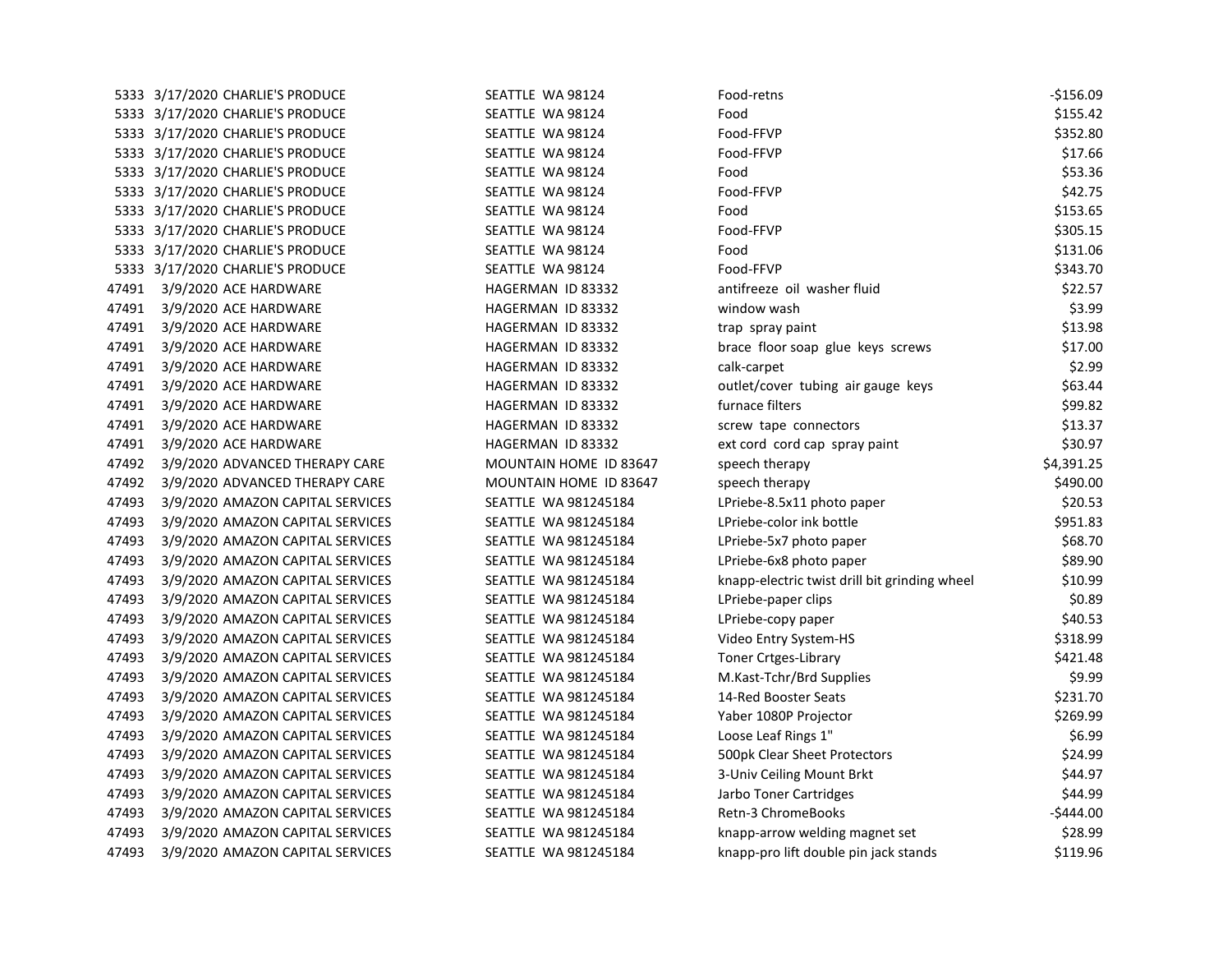| 5333 3/17/2020 CHARLIE'S PRODUCE<br>5333 3/17/2020 CHARLIE'S PRODUCE                                                                                                                                                 | SEATTLE WA 98124                                                                                                                                                                                                                                                                                               | Food                                          | \$155.42   |
|----------------------------------------------------------------------------------------------------------------------------------------------------------------------------------------------------------------------|----------------------------------------------------------------------------------------------------------------------------------------------------------------------------------------------------------------------------------------------------------------------------------------------------------------|-----------------------------------------------|------------|
|                                                                                                                                                                                                                      |                                                                                                                                                                                                                                                                                                                |                                               |            |
|                                                                                                                                                                                                                      | SEATTLE WA 98124                                                                                                                                                                                                                                                                                               | Food-FFVP                                     | \$352.80   |
| 5333 3/17/2020 CHARLIE'S PRODUCE                                                                                                                                                                                     | SEATTLE WA 98124                                                                                                                                                                                                                                                                                               | Food-FFVP                                     | \$17.66    |
|                                                                                                                                                                                                                      | SEATTLE WA 98124                                                                                                                                                                                                                                                                                               | Food                                          | \$53.36    |
|                                                                                                                                                                                                                      | SEATTLE WA 98124                                                                                                                                                                                                                                                                                               | Food-FFVP                                     | \$42.75    |
|                                                                                                                                                                                                                      | SEATTLE WA 98124                                                                                                                                                                                                                                                                                               | Food                                          | \$153.65   |
|                                                                                                                                                                                                                      | SEATTLE WA 98124                                                                                                                                                                                                                                                                                               | Food-FFVP                                     | \$305.15   |
|                                                                                                                                                                                                                      | SEATTLE WA 98124                                                                                                                                                                                                                                                                                               | Food                                          | \$131.06   |
|                                                                                                                                                                                                                      | SEATTLE WA 98124                                                                                                                                                                                                                                                                                               | Food-FFVP                                     | \$343.70   |
| 3/9/2020 ACE HARDWARE                                                                                                                                                                                                | HAGERMAN ID 83332                                                                                                                                                                                                                                                                                              | antifreeze oil washer fluid                   | \$22.57    |
| 3/9/2020 ACE HARDWARE                                                                                                                                                                                                | HAGERMAN ID 83332                                                                                                                                                                                                                                                                                              | window wash                                   | \$3.99     |
| 3/9/2020 ACE HARDWARE                                                                                                                                                                                                | HAGERMAN ID 83332                                                                                                                                                                                                                                                                                              | trap spray paint                              | \$13.98    |
| 3/9/2020 ACE HARDWARE                                                                                                                                                                                                | HAGERMAN ID 83332                                                                                                                                                                                                                                                                                              | brace floor soap glue keys screws             | \$17.00    |
| 3/9/2020 ACE HARDWARE                                                                                                                                                                                                | HAGERMAN ID 83332                                                                                                                                                                                                                                                                                              | calk-carpet                                   | \$2.99     |
| 3/9/2020 ACE HARDWARE                                                                                                                                                                                                | HAGERMAN ID 83332                                                                                                                                                                                                                                                                                              | outlet/cover tubing air gauge keys            | \$63.44    |
| 3/9/2020 ACE HARDWARE                                                                                                                                                                                                | HAGERMAN ID 83332                                                                                                                                                                                                                                                                                              | furnace filters                               | \$99.82    |
| 3/9/2020 ACE HARDWARE                                                                                                                                                                                                | HAGERMAN ID 83332                                                                                                                                                                                                                                                                                              | screw tape connectors                         | \$13.37    |
| 3/9/2020 ACE HARDWARE                                                                                                                                                                                                | HAGERMAN ID 83332                                                                                                                                                                                                                                                                                              | ext cord cord cap spray paint                 | \$30.97    |
| 3/9/2020 ADVANCED THERAPY CARE                                                                                                                                                                                       | MOUNTAIN HOME ID 83647                                                                                                                                                                                                                                                                                         | speech therapy                                | \$4,391.25 |
| 3/9/2020 ADVANCED THERAPY CARE                                                                                                                                                                                       | MOUNTAIN HOME ID 83647                                                                                                                                                                                                                                                                                         | speech therapy                                | \$490.00   |
| 3/9/2020 AMAZON CAPITAL SERVICES                                                                                                                                                                                     | SEATTLE WA 981245184                                                                                                                                                                                                                                                                                           | LPriebe-8.5x11 photo paper                    | \$20.53    |
| 3/9/2020 AMAZON CAPITAL SERVICES                                                                                                                                                                                     | SEATTLE WA 981245184                                                                                                                                                                                                                                                                                           | LPriebe-color ink bottle                      | \$951.83   |
| 3/9/2020 AMAZON CAPITAL SERVICES                                                                                                                                                                                     | SEATTLE WA 981245184                                                                                                                                                                                                                                                                                           | LPriebe-5x7 photo paper                       | \$68.70    |
|                                                                                                                                                                                                                      | SEATTLE WA 981245184                                                                                                                                                                                                                                                                                           | LPriebe-6x8 photo paper                       | \$89.90    |
| 3/9/2020 AMAZON CAPITAL SERVICES                                                                                                                                                                                     | SEATTLE WA 981245184                                                                                                                                                                                                                                                                                           | knapp-electric twist drill bit grinding wheel | \$10.99    |
| 3/9/2020 AMAZON CAPITAL SERVICES                                                                                                                                                                                     | SEATTLE WA 981245184                                                                                                                                                                                                                                                                                           | LPriebe-paper clips                           | \$0.89     |
| 3/9/2020 AMAZON CAPITAL SERVICES                                                                                                                                                                                     | SEATTLE WA 981245184                                                                                                                                                                                                                                                                                           | LPriebe-copy paper                            | \$40.53    |
| 3/9/2020 AMAZON CAPITAL SERVICES                                                                                                                                                                                     | SEATTLE WA 981245184                                                                                                                                                                                                                                                                                           | Video Entry System-HS                         | \$318.99   |
| 3/9/2020 AMAZON CAPITAL SERVICES                                                                                                                                                                                     | SEATTLE WA 981245184                                                                                                                                                                                                                                                                                           | <b>Toner Crtges-Library</b>                   | \$421.48   |
| 3/9/2020 AMAZON CAPITAL SERVICES                                                                                                                                                                                     | SEATTLE WA 981245184                                                                                                                                                                                                                                                                                           | M.Kast-Tchr/Brd Supplies                      | \$9.99     |
| 3/9/2020 AMAZON CAPITAL SERVICES                                                                                                                                                                                     | SEATTLE WA 981245184                                                                                                                                                                                                                                                                                           | 14-Red Booster Seats                          | \$231.70   |
| 3/9/2020 AMAZON CAPITAL SERVICES                                                                                                                                                                                     | SEATTLE WA 981245184                                                                                                                                                                                                                                                                                           | Yaber 1080P Projector                         | \$269.99   |
| 3/9/2020 AMAZON CAPITAL SERVICES                                                                                                                                                                                     | SEATTLE WA 981245184                                                                                                                                                                                                                                                                                           | Loose Leaf Rings 1"                           | \$6.99     |
| 3/9/2020 AMAZON CAPITAL SERVICES                                                                                                                                                                                     | SEATTLE WA 981245184                                                                                                                                                                                                                                                                                           | 500pk Clear Sheet Protectors                  | \$24.99    |
| 3/9/2020 AMAZON CAPITAL SERVICES                                                                                                                                                                                     | SEATTLE WA 981245184                                                                                                                                                                                                                                                                                           | 3-Univ Ceiling Mount Brkt                     | \$44.97    |
| 3/9/2020 AMAZON CAPITAL SERVICES                                                                                                                                                                                     | SEATTLE WA 981245184                                                                                                                                                                                                                                                                                           | Jarbo Toner Cartridges                        | \$44.99    |
| 3/9/2020 AMAZON CAPITAL SERVICES                                                                                                                                                                                     | SEATTLE WA 981245184                                                                                                                                                                                                                                                                                           | Retn-3 ChromeBooks                            | $-$444.00$ |
| 3/9/2020 AMAZON CAPITAL SERVICES                                                                                                                                                                                     | SEATTLE WA 981245184                                                                                                                                                                                                                                                                                           | knapp-arrow welding magnet set                | \$28.99    |
| 3/9/2020 AMAZON CAPITAL SERVICES                                                                                                                                                                                     | SEATTLE WA 981245184                                                                                                                                                                                                                                                                                           | knapp-pro lift double pin jack stands         | \$119.96   |
| 47491<br>47491<br>47491<br>47491<br>47491<br>47492<br>47493<br>47493<br>47493<br>47493<br>47493<br>47493<br>47493<br>47493<br>47493<br>47493<br>47493<br>47493<br>47493<br>47493<br>47493<br>47493<br>47493<br>47493 | 5333 3/17/2020 CHARLIE'S PRODUCE<br>5333 3/17/2020 CHARLIE'S PRODUCE<br>5333 3/17/2020 CHARLIE'S PRODUCE<br>5333 3/17/2020 CHARLIE'S PRODUCE<br>5333 3/17/2020 CHARLIE'S PRODUCE<br>5333 3/17/2020 CHARLIE'S PRODUCE<br>47491<br>47491<br>47491<br>47491<br>47492<br>47493<br>3/9/2020 AMAZON CAPITAL SERVICES |                                               |            |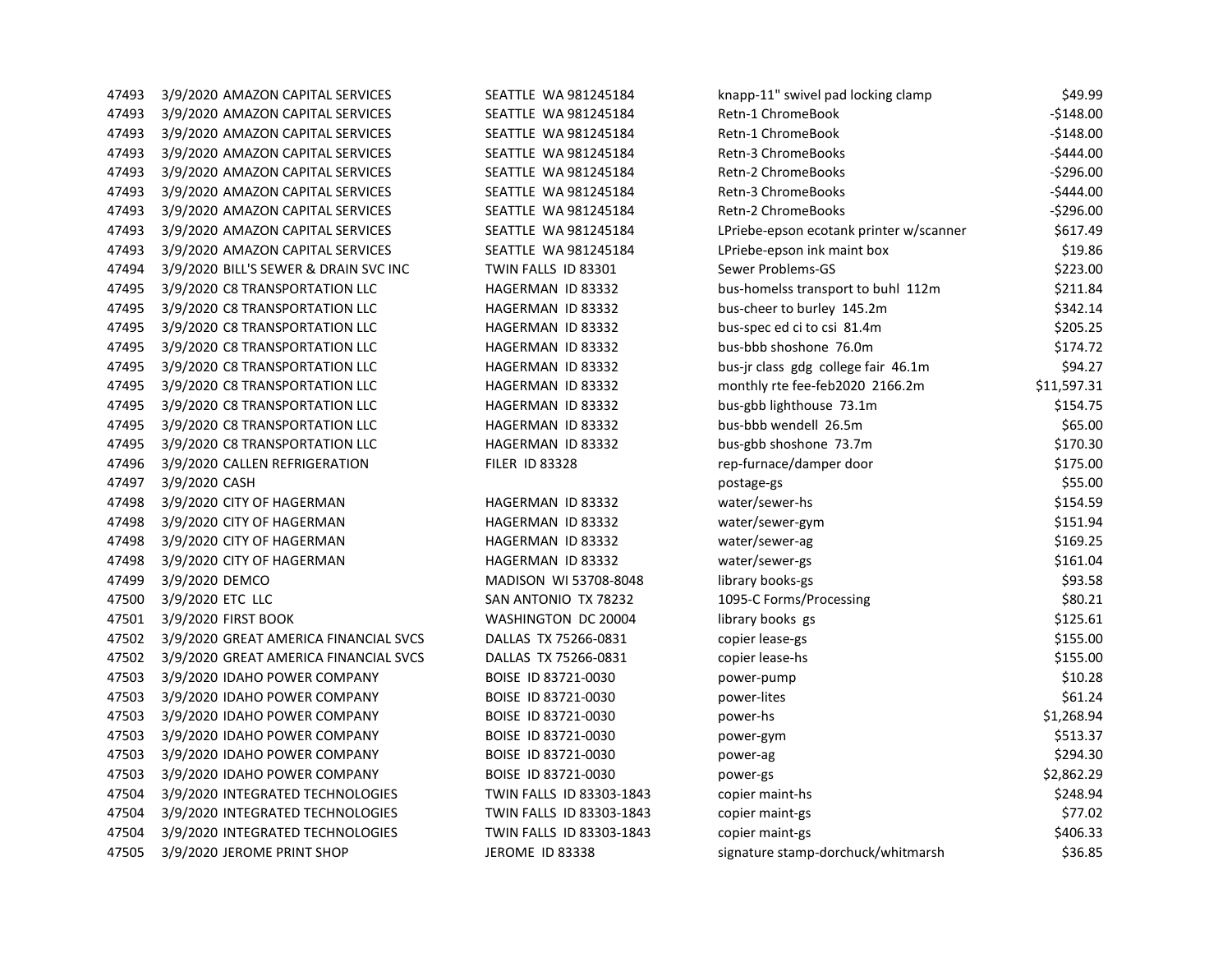| 47493 | 3/9/2020 AMAZON CAPITAL SERVICES      | SEATTLE WA 981245184     | knapp-11" swivel pad locking clamp      | \$49.99     |
|-------|---------------------------------------|--------------------------|-----------------------------------------|-------------|
| 47493 | 3/9/2020 AMAZON CAPITAL SERVICES      | SEATTLE WA 981245184     | Retn-1 ChromeBook                       | $-$148.00$  |
| 47493 | 3/9/2020 AMAZON CAPITAL SERVICES      | SEATTLE WA 981245184     | Retn-1 ChromeBook                       | $-$148.00$  |
| 47493 | 3/9/2020 AMAZON CAPITAL SERVICES      | SEATTLE WA 981245184     | Retn-3 ChromeBooks                      | $-$444.00$  |
| 47493 | 3/9/2020 AMAZON CAPITAL SERVICES      | SEATTLE WA 981245184     | <b>Retn-2 ChromeBooks</b>               | $-5296.00$  |
| 47493 | 3/9/2020 AMAZON CAPITAL SERVICES      | SEATTLE WA 981245184     | Retn-3 ChromeBooks                      | $-$444.00$  |
| 47493 | 3/9/2020 AMAZON CAPITAL SERVICES      | SEATTLE WA 981245184     | Retn-2 ChromeBooks                      | $-5296.00$  |
| 47493 | 3/9/2020 AMAZON CAPITAL SERVICES      | SEATTLE WA 981245184     | LPriebe-epson ecotank printer w/scanner | \$617.49    |
| 47493 | 3/9/2020 AMAZON CAPITAL SERVICES      | SEATTLE WA 981245184     | LPriebe-epson ink maint box             | \$19.86     |
| 47494 | 3/9/2020 BILL'S SEWER & DRAIN SVC INC | TWIN FALLS ID 83301      | Sewer Problems-GS                       | \$223.00    |
| 47495 | 3/9/2020 C8 TRANSPORTATION LLC        | HAGERMAN ID 83332        | bus-homelss transport to buhl 112m      | \$211.84    |
| 47495 | 3/9/2020 C8 TRANSPORTATION LLC        | HAGERMAN ID 83332        | bus-cheer to burley 145.2m              | \$342.14    |
| 47495 | 3/9/2020 C8 TRANSPORTATION LLC        | HAGERMAN ID 83332        | bus-spec ed ci to csi 81.4m             | \$205.25    |
| 47495 | 3/9/2020 C8 TRANSPORTATION LLC        | HAGERMAN ID 83332        | bus-bbb shoshone 76.0m                  | \$174.72    |
| 47495 | 3/9/2020 C8 TRANSPORTATION LLC        | HAGERMAN ID 83332        | bus-jr class gdg college fair 46.1m     | \$94.27     |
| 47495 | 3/9/2020 C8 TRANSPORTATION LLC        | HAGERMAN ID 83332        | monthly rte fee-feb2020 2166.2m         | \$11,597.31 |
| 47495 | 3/9/2020 C8 TRANSPORTATION LLC        | HAGERMAN ID 83332        | bus-gbb lighthouse 73.1m                | \$154.75    |
| 47495 | 3/9/2020 C8 TRANSPORTATION LLC        | HAGERMAN ID 83332        | bus-bbb wendell 26.5m                   | \$65.00     |
| 47495 | 3/9/2020 C8 TRANSPORTATION LLC        | HAGERMAN ID 83332        | bus-gbb shoshone 73.7m                  | \$170.30    |
| 47496 | 3/9/2020 CALLEN REFRIGERATION         | <b>FILER ID 83328</b>    | rep-furnace/damper door                 | \$175.00    |
| 47497 | 3/9/2020 CASH                         |                          | postage-gs                              | \$55.00     |
| 47498 | 3/9/2020 CITY OF HAGERMAN             | HAGERMAN ID 83332        | water/sewer-hs                          | \$154.59    |
| 47498 | 3/9/2020 CITY OF HAGERMAN             | HAGERMAN ID 83332        | water/sewer-gym                         | \$151.94    |
| 47498 | 3/9/2020 CITY OF HAGERMAN             | HAGERMAN ID 83332        | water/sewer-ag                          | \$169.25    |
| 47498 | 3/9/2020 CITY OF HAGERMAN             | HAGERMAN ID 83332        | water/sewer-gs                          | \$161.04    |
| 47499 | 3/9/2020 DEMCO                        | MADISON WI 53708-8048    | library books-gs                        | \$93.58     |
| 47500 | 3/9/2020 ETC LLC                      | SAN ANTONIO TX 78232     | 1095-C Forms/Processing                 | \$80.21     |
| 47501 | 3/9/2020 FIRST BOOK                   | WASHINGTON DC 20004      | library books gs                        | \$125.61    |
| 47502 | 3/9/2020 GREAT AMERICA FINANCIAL SVCS | DALLAS TX 75266-0831     | copier lease-gs                         | \$155.00    |
| 47502 | 3/9/2020 GREAT AMERICA FINANCIAL SVCS | DALLAS TX 75266-0831     | copier lease-hs                         | \$155.00    |
| 47503 | 3/9/2020 IDAHO POWER COMPANY          | BOISE ID 83721-0030      | power-pump                              | \$10.28     |
| 47503 | 3/9/2020 IDAHO POWER COMPANY          | BOISE ID 83721-0030      | power-lites                             | \$61.24     |
| 47503 | 3/9/2020 IDAHO POWER COMPANY          | BOISE ID 83721-0030      | power-hs                                | \$1,268.94  |
| 47503 | 3/9/2020 IDAHO POWER COMPANY          | BOISE ID 83721-0030      | power-gym                               | \$513.37    |
| 47503 | 3/9/2020 IDAHO POWER COMPANY          | BOISE ID 83721-0030      | power-ag                                | \$294.30    |
| 47503 | 3/9/2020 IDAHO POWER COMPANY          | BOISE ID 83721-0030      | power-gs                                | \$2,862.29  |
| 47504 | 3/9/2020 INTEGRATED TECHNOLOGIES      | TWIN FALLS ID 83303-1843 | copier maint-hs                         | \$248.94    |
| 47504 | 3/9/2020 INTEGRATED TECHNOLOGIES      | TWIN FALLS ID 83303-1843 | copier maint-gs                         | \$77.02     |
| 47504 | 3/9/2020 INTEGRATED TECHNOLOGIES      | TWIN FALLS ID 83303-1843 | copier maint-gs                         | \$406.33    |
| 47505 | 3/9/2020 JEROME PRINT SHOP            | <b>JEROME ID 83338</b>   | signature stamp-dorchuck/whitmarsh      | \$36.85     |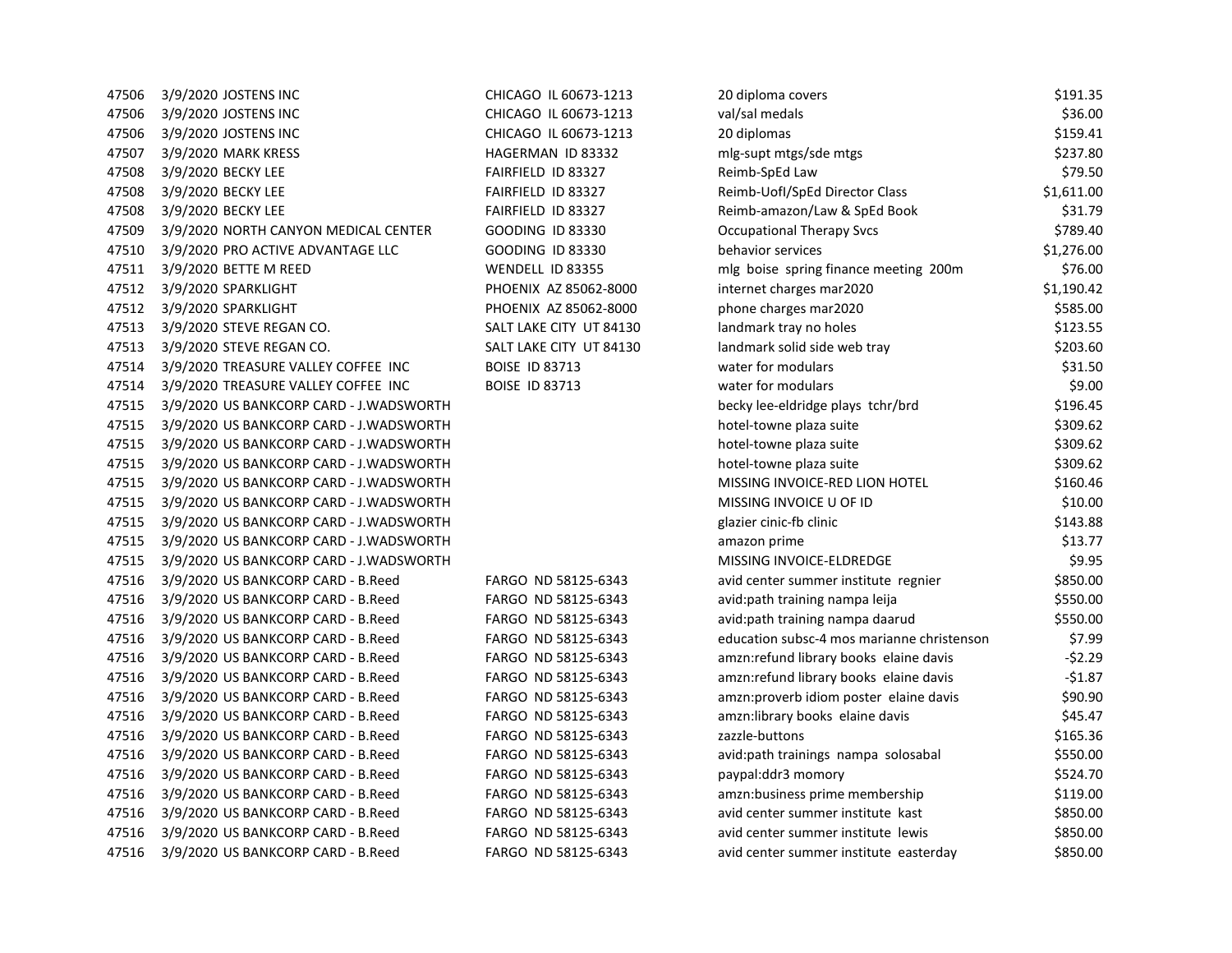| 47506 | 3/9/2020 JOSTENS INC                    | CHICAGO IL 60673-1213   | 20 diploma covers                          | \$191.35   |
|-------|-----------------------------------------|-------------------------|--------------------------------------------|------------|
| 47506 | 3/9/2020 JOSTENS INC                    | CHICAGO IL 60673-1213   | val/sal medals                             | \$36.00    |
| 47506 | 3/9/2020 JOSTENS INC                    | CHICAGO IL 60673-1213   | 20 diplomas                                | \$159.41   |
| 47507 | 3/9/2020 MARK KRESS                     | HAGERMAN ID 83332       | mlg-supt mtgs/sde mtgs                     | \$237.80   |
| 47508 | 3/9/2020 BECKY LEE                      | FAIRFIELD ID 83327      | Reimb-SpEd Law                             | \$79.50    |
| 47508 | 3/9/2020 BECKY LEE                      | FAIRFIELD ID 83327      | Reimb-Uofl/SpEd Director Class             | \$1,611.00 |
| 47508 | 3/9/2020 BECKY LEE                      | FAIRFIELD ID 83327      | Reimb-amazon/Law & SpEd Book               | \$31.79    |
| 47509 | 3/9/2020 NORTH CANYON MEDICAL CENTER    | <b>GOODING ID 83330</b> | <b>Occupational Therapy Svcs</b>           | \$789.40   |
| 47510 | 3/9/2020 PRO ACTIVE ADVANTAGE LLC       | <b>GOODING ID 83330</b> | behavior services                          | \$1,276.00 |
| 47511 | 3/9/2020 BETTE M REED                   | WENDELL ID 83355        | mlg boise spring finance meeting 200m      | \$76.00    |
| 47512 | 3/9/2020 SPARKLIGHT                     | PHOENIX AZ 85062-8000   | internet charges mar2020                   | \$1,190.42 |
| 47512 | 3/9/2020 SPARKLIGHT                     | PHOENIX AZ 85062-8000   | phone charges mar2020                      | \$585.00   |
| 47513 | 3/9/2020 STEVE REGAN CO.                | SALT LAKE CITY UT 84130 | landmark tray no holes                     | \$123.55   |
| 47513 | 3/9/2020 STEVE REGAN CO.                | SALT LAKE CITY UT 84130 | landmark solid side web tray               | \$203.60   |
| 47514 | 3/9/2020 TREASURE VALLEY COFFEE INC     | <b>BOISE ID 83713</b>   | water for modulars                         | \$31.50    |
| 47514 | 3/9/2020 TREASURE VALLEY COFFEE INC     | <b>BOISE ID 83713</b>   | water for modulars                         | \$9.00     |
| 47515 | 3/9/2020 US BANKCORP CARD - J.WADSWORTH |                         | becky lee-eldridge plays tchr/brd          | \$196.45   |
| 47515 | 3/9/2020 US BANKCORP CARD - J.WADSWORTH |                         | hotel-towne plaza suite                    | \$309.62   |
| 47515 | 3/9/2020 US BANKCORP CARD - J.WADSWORTH |                         | hotel-towne plaza suite                    | \$309.62   |
| 47515 | 3/9/2020 US BANKCORP CARD - J.WADSWORTH |                         | hotel-towne plaza suite                    | \$309.62   |
| 47515 | 3/9/2020 US BANKCORP CARD - J.WADSWORTH |                         | MISSING INVOICE-RED LION HOTEL             | \$160.46   |
| 47515 | 3/9/2020 US BANKCORP CARD - J.WADSWORTH |                         | MISSING INVOICE U OF ID                    | \$10.00    |
| 47515 | 3/9/2020 US BANKCORP CARD - J.WADSWORTH |                         | glazier cinic-fb clinic                    | \$143.88   |
| 47515 | 3/9/2020 US BANKCORP CARD - J.WADSWORTH |                         | amazon prime                               | \$13.77    |
| 47515 | 3/9/2020 US BANKCORP CARD - J.WADSWORTH |                         | MISSING INVOICE-ELDREDGE                   | \$9.95     |
| 47516 | 3/9/2020 US BANKCORP CARD - B.Reed      | FARGO ND 58125-6343     | avid center summer institute regnier       | \$850.00   |
| 47516 | 3/9/2020 US BANKCORP CARD - B.Reed      | FARGO ND 58125-6343     | avid: path training nampa leija            | \$550.00   |
| 47516 | 3/9/2020 US BANKCORP CARD - B.Reed      | FARGO ND 58125-6343     | avid: path training nampa daarud           | \$550.00   |
| 47516 | 3/9/2020 US BANKCORP CARD - B.Reed      | FARGO ND 58125-6343     | education subsc-4 mos marianne christenson | \$7.99     |
| 47516 | 3/9/2020 US BANKCORP CARD - B.Reed      | FARGO ND 58125-6343     | amzn:refund library books elaine davis     | $-52.29$   |
| 47516 | 3/9/2020 US BANKCORP CARD - B.Reed      | FARGO ND 58125-6343     | amzn:refund library books elaine davis     | $-51.87$   |
| 47516 | 3/9/2020 US BANKCORP CARD - B.Reed      | FARGO ND 58125-6343     | amzn: proverb idiom poster elaine davis    | \$90.90    |
| 47516 | 3/9/2020 US BANKCORP CARD - B.Reed      | FARGO ND 58125-6343     | amzn:library books elaine davis            | \$45.47    |
| 47516 | 3/9/2020 US BANKCORP CARD - B.Reed      | FARGO ND 58125-6343     | zazzle-buttons                             | \$165.36   |
| 47516 | 3/9/2020 US BANKCORP CARD - B.Reed      | FARGO ND 58125-6343     | avid:path trainings nampa solosabal        | \$550.00   |
| 47516 | 3/9/2020 US BANKCORP CARD - B.Reed      | FARGO ND 58125-6343     | paypal:ddr3 momory                         | \$524.70   |
| 47516 | 3/9/2020 US BANKCORP CARD - B.Reed      | FARGO ND 58125-6343     | amzn:business prime membership             | \$119.00   |
| 47516 | 3/9/2020 US BANKCORP CARD - B.Reed      | FARGO ND 58125-6343     | avid center summer institute kast          | \$850.00   |
| 47516 | 3/9/2020 US BANKCORP CARD - B.Reed      | FARGO ND 58125-6343     | avid center summer institute lewis         | \$850.00   |
| 47516 | 3/9/2020 US BANKCORP CARD - B.Reed      | FARGO ND 58125-6343     | avid center summer institute easterday     | \$850.00   |
|       |                                         |                         |                                            |            |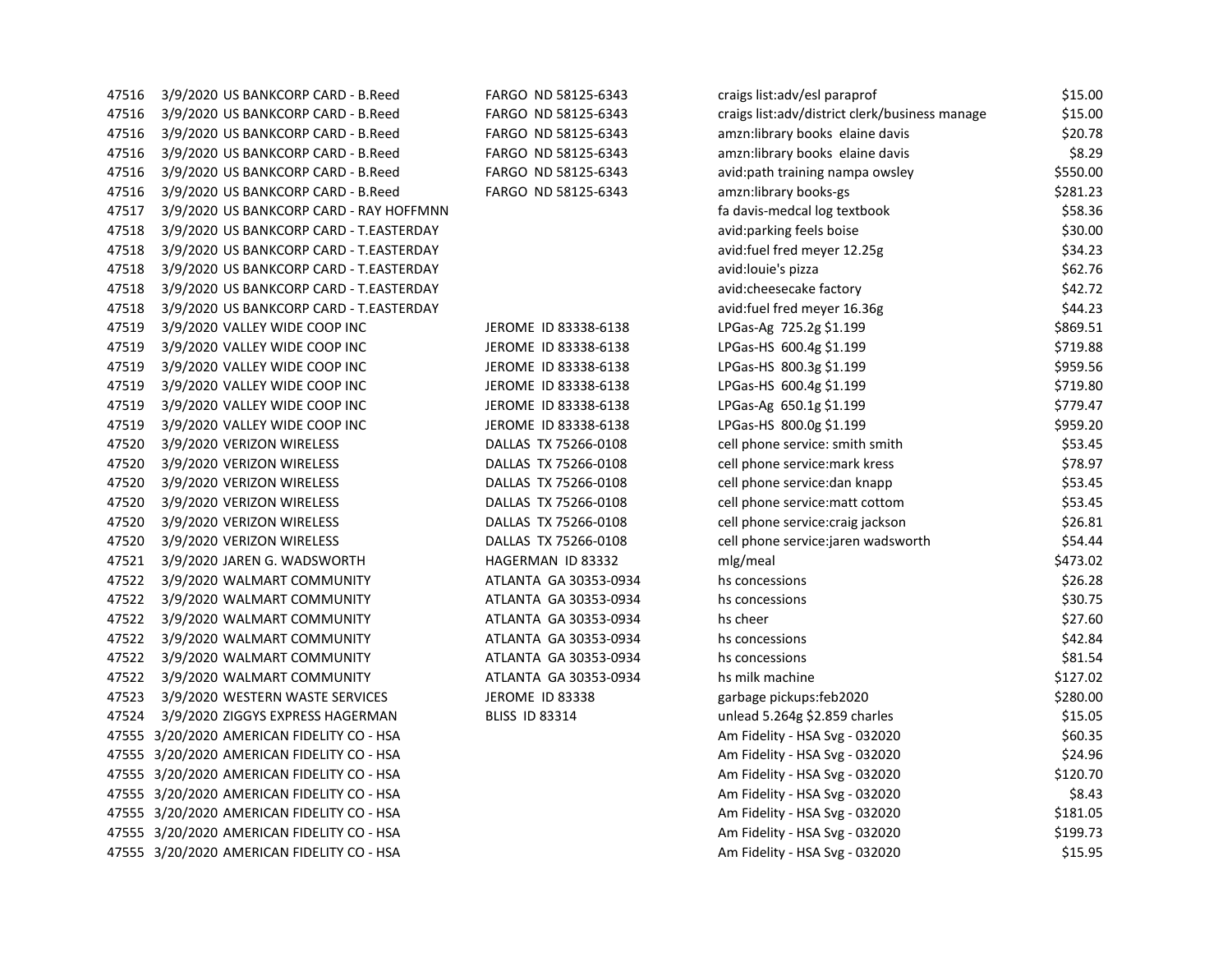| 47516 | 3/9/2020 US BANKCORP CARD - B.Reed      |
|-------|-----------------------------------------|
| 47516 | 3/9/2020 US BANKCORP CARD - B.Reed      |
| 47516 | 3/9/2020 US BANKCORP CARD - B.Reed      |
| 47516 | 3/9/2020 US BANKCORP CARD - B.Reed      |
| 47516 | 3/9/2020 US BANKCORP CARD - B.Reed      |
| 47516 | 3/9/2020 US BANKCORP CARD - B.Reed      |
| 47517 | 3/9/2020 US BANKCORP CARD - RAY HOFFMNN |
| 47518 | 3/9/2020 US BANKCORP CARD - T.EASTERDAY |
| 47518 | 3/9/2020 US BANKCORP CARD - T.EASTERDAY |
| 47518 | 3/9/2020 US BANKCORP CARD - T.EASTERDAY |
| 47518 | 3/9/2020 US BANKCORP CARD - T.EASTERDAY |
| 47518 | 3/9/2020 US BANKCORP CARD - T.EASTERDAY |
| 47519 | 3/9/2020 VALLEY WIDE COOP INC           |
| 47519 | 3/9/2020 VALLEY WIDE COOP INC           |
| 47519 | 3/9/2020 VALLEY WIDE COOP INC           |
| 47519 | 3/9/2020 VALLEY WIDE COOP INC           |
| 47519 | 3/9/2020 VALLEY WIDE COOP INC           |
| 47519 | 3/9/2020 VALLEY WIDE COOP INC           |
| 47520 | 3/9/2020 VERIZON WIRELESS               |
| 47520 | 3/9/2020 VERIZON WIRELESS               |
| 47520 | 3/9/2020 VERIZON WIRELESS               |
| 47520 | 3/9/2020 VERIZON WIRELESS               |
| 47520 | 3/9/2020 VERIZON WIRELESS               |
| 47520 | 3/9/2020 VERIZON WIRELESS               |
| 47521 | 3/9/2020 JAREN G. WADSWORTH             |
| 47522 | 3/9/2020 WALMART COMMUNITY              |
| 47522 | 3/9/2020 WALMART COMMUNITY              |
| 47522 | 3/9/2020 WALMART COMMUNITY              |
| 47522 | 3/9/2020 WALMART COMMUNITY              |
| 47522 | 3/9/2020 WALMART COMMUNITY              |
| 47522 | 3/9/2020 WALMART COMMUNITY              |
| 47523 | 3/9/2020 WESTERN WASTE SERVICES         |
| 47524 | 3/9/2020 ZIGGYS EXPRESS HAGERMAN        |
| 47555 | 3/20/2020 AMERICAN FIDELITY CO - HSA    |
| 47555 | 3/20/2020 AMERICAN FIDELITY CO - HSA    |
| 47555 | 3/20/2020 AMERICAN FIDELITY CO - HSA    |
| 47555 | 3/20/2020 AMERICAN FIDELITY CO - HSA    |
| 47555 | 3/20/2020 AMERICAN FIDELITY CO - HSA    |
| 47555 | 3/20/2020 AMERICAN FIDELITY CO - HSA    |
| 47555 | 3/20/2020 AMERICAN FIDELITY CO - HSA    |

| FARGO ND 58125-6343 |
|---------------------|
| FARGO ND 58125-6343 |
| FARGO ND 58125-6343 |
| FARGO ND 58125-6343 |
| FARGO ND 58125-6343 |
| FARGO ND 58125-6343 |
|                     |

| 47516 | 3/9/2020 US BANKCORP CARD - B.Reed         | FARGO ND 58125-6343    | craigs list:adv/esl paraprof                   | \$15.00  |
|-------|--------------------------------------------|------------------------|------------------------------------------------|----------|
| 47516 | 3/9/2020 US BANKCORP CARD - B.Reed         | FARGO ND 58125-6343    | craigs list:adv/district clerk/business manage | \$15.00  |
| 47516 | 3/9/2020 US BANKCORP CARD - B.Reed         | FARGO ND 58125-6343    | amzn:library books elaine davis                | \$20.78  |
| 47516 | 3/9/2020 US BANKCORP CARD - B.Reed         | FARGO ND 58125-6343    | amzn:library books elaine davis                | \$8.29   |
| 47516 | 3/9/2020 US BANKCORP CARD - B.Reed         | FARGO ND 58125-6343    | avid: path training nampa owsley               | \$550.00 |
| 47516 | 3/9/2020 US BANKCORP CARD - B.Reed         | FARGO ND 58125-6343    | amzn:library books-gs                          | \$281.23 |
| 47517 | 3/9/2020 US BANKCORP CARD - RAY HOFFMNN    |                        | fa davis-medcal log textbook                   | \$58.36  |
| 47518 | 3/9/2020 US BANKCORP CARD - T.EASTERDAY    |                        | avid: parking feels boise                      | \$30.00  |
| 47518 | 3/9/2020 US BANKCORP CARD - T.EASTERDAY    |                        | avid:fuel fred meyer 12.25g                    | \$34.23  |
| 47518 | 3/9/2020 US BANKCORP CARD - T.EASTERDAY    |                        | avid: louie's pizza                            | \$62.76  |
| 47518 | 3/9/2020 US BANKCORP CARD - T.EASTERDAY    |                        | avid:cheesecake factory                        | \$42.72  |
| 47518 | 3/9/2020 US BANKCORP CARD - T.EASTERDAY    |                        | avid:fuel fred meyer 16.36g                    | \$44.23  |
| 47519 | 3/9/2020 VALLEY WIDE COOP INC              | JEROME ID 83338-6138   | LPGas-Ag 725.2g \$1.199                        | \$869.51 |
| 47519 | 3/9/2020 VALLEY WIDE COOP INC              | JEROME ID 83338-6138   | LPGas-HS 600.4g \$1.199                        | \$719.88 |
| 47519 | 3/9/2020 VALLEY WIDE COOP INC              | JEROME ID 83338-6138   | LPGas-HS 800.3g \$1.199                        | \$959.56 |
| 47519 | 3/9/2020 VALLEY WIDE COOP INC              | JEROME ID 83338-6138   | LPGas-HS 600.4g \$1.199                        | \$719.80 |
| 47519 | 3/9/2020 VALLEY WIDE COOP INC              | JEROME ID 83338-6138   | LPGas-Ag 650.1g \$1.199                        | \$779.47 |
| 47519 | 3/9/2020 VALLEY WIDE COOP INC              | JEROME ID 83338-6138   | LPGas-HS 800.0g \$1.199                        | \$959.20 |
| 47520 | 3/9/2020 VERIZON WIRELESS                  | DALLAS TX 75266-0108   | cell phone service: smith smith                | \$53.45  |
| 47520 | 3/9/2020 VERIZON WIRELESS                  | DALLAS TX 75266-0108   | cell phone service: mark kress                 | \$78.97  |
| 47520 | 3/9/2020 VERIZON WIRELESS                  | DALLAS TX 75266-0108   | cell phone service: dan knapp                  | \$53.45  |
| 47520 | 3/9/2020 VERIZON WIRELESS                  | DALLAS TX 75266-0108   | cell phone service: matt cottom                | \$53.45  |
| 47520 | 3/9/2020 VERIZON WIRELESS                  | DALLAS TX 75266-0108   | cell phone service: craig jackson              | \$26.81  |
| 47520 | 3/9/2020 VERIZON WIRELESS                  | DALLAS TX 75266-0108   | cell phone service:jaren wadsworth             | \$54.44  |
| 47521 | 3/9/2020 JAREN G. WADSWORTH                | HAGERMAN ID 83332      | mlg/meal                                       | \$473.02 |
| 47522 | 3/9/2020 WALMART COMMUNITY                 | ATLANTA GA 30353-0934  | hs concessions                                 | \$26.28  |
| 47522 | 3/9/2020 WALMART COMMUNITY                 | ATLANTA GA 30353-0934  | hs concessions                                 | \$30.75  |
| 47522 | 3/9/2020 WALMART COMMUNITY                 | ATLANTA GA 30353-0934  | hs cheer                                       | \$27.60  |
| 47522 | 3/9/2020 WALMART COMMUNITY                 | ATLANTA GA 30353-0934  | hs concessions                                 | \$42.84  |
| 47522 | 3/9/2020 WALMART COMMUNITY                 | ATLANTA GA 30353-0934  | hs concessions                                 | \$81.54  |
| 47522 | 3/9/2020 WALMART COMMUNITY                 | ATLANTA GA 30353-0934  | hs milk machine                                | \$127.02 |
| 47523 | 3/9/2020 WESTERN WASTE SERVICES            | <b>JEROME ID 83338</b> | garbage pickups:feb2020                        | \$280.00 |
| 47524 | 3/9/2020 ZIGGYS EXPRESS HAGERMAN           | <b>BLISS ID 83314</b>  | unlead 5.264g \$2.859 charles                  | \$15.05  |
|       | 47555 3/20/2020 AMERICAN FIDELITY CO - HSA |                        | Am Fidelity - HSA Svg - 032020                 | \$60.35  |
|       | 47555 3/20/2020 AMERICAN FIDELITY CO - HSA |                        | Am Fidelity - HSA Svg - 032020                 | \$24.96  |
|       | 47555 3/20/2020 AMERICAN FIDELITY CO - HSA |                        | Am Fidelity - HSA Svg - 032020                 | \$120.70 |
|       | 47555 3/20/2020 AMERICAN FIDELITY CO - HSA |                        | Am Fidelity - HSA Svg - 032020                 | \$8.43   |
|       | 47555 3/20/2020 AMERICAN FIDELITY CO - HSA |                        | Am Fidelity - HSA Svg - 032020                 | \$181.05 |
|       | 47555 3/20/2020 AMERICAN FIDELITY CO - HSA |                        | Am Fidelity - HSA Svg - 032020                 | \$199.73 |
|       | 47555 3/20/2020 AMERICAN FIDELITY CO - HSA |                        | Am Fidelity - HSA Svg - 032020                 | \$15.95  |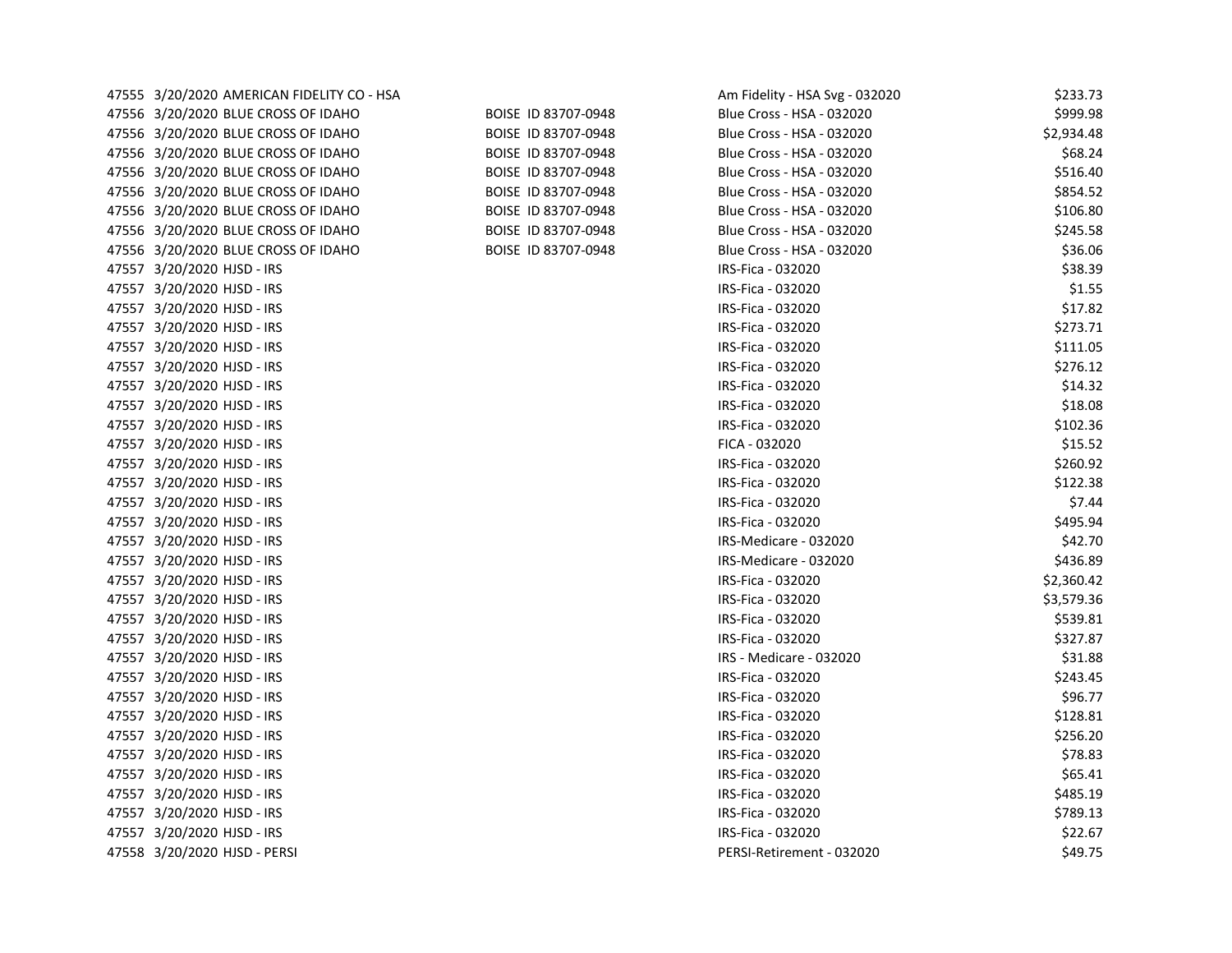| 47555 3/20/2020 AMERICAN FIDELITY CO - HSA |                     | Am Fidelity - HSA Svg - 032020 | \$233.73   |
|--------------------------------------------|---------------------|--------------------------------|------------|
| 47556 3/20/2020 BLUE CROSS OF IDAHO        | BOISE ID 83707-0948 | Blue Cross - HSA - 032020      | \$999.98   |
| 47556 3/20/2020 BLUE CROSS OF IDAHO        | BOISE ID 83707-0948 | Blue Cross - HSA - 032020      | \$2,934.48 |
| 47556 3/20/2020 BLUE CROSS OF IDAHO        | BOISE ID 83707-0948 | Blue Cross - HSA - 032020      | \$68.24    |
| 47556 3/20/2020 BLUE CROSS OF IDAHO        | BOISE ID 83707-0948 | Blue Cross - HSA - 032020      | \$516.40   |
| 47556 3/20/2020 BLUE CROSS OF IDAHO        | BOISE ID 83707-0948 | Blue Cross - HSA - 032020      | \$854.52   |
| 47556 3/20/2020 BLUE CROSS OF IDAHO        | BOISE ID 83707-0948 | Blue Cross - HSA - 032020      | \$106.80   |
| 47556 3/20/2020 BLUE CROSS OF IDAHO        | BOISE ID 83707-0948 | Blue Cross - HSA - 032020      | \$245.58   |
| 47556 3/20/2020 BLUE CROSS OF IDAHO        | BOISE ID 83707-0948 | Blue Cross - HSA - 032020      | \$36.06    |
| 47557 3/20/2020 HJSD - IRS                 |                     | IRS-Fica - 032020              | \$38.39    |
| 47557 3/20/2020 HJSD - IRS                 |                     | IRS-Fica - 032020              | \$1.55     |
| 47557 3/20/2020 HJSD - IRS                 |                     | IRS-Fica - 032020              | \$17.82    |
| 47557 3/20/2020 HJSD - IRS                 |                     | IRS-Fica - 032020              | \$273.71   |
| 47557 3/20/2020 HJSD - IRS                 |                     | IRS-Fica - 032020              | \$111.05   |
| 47557 3/20/2020 HJSD - IRS                 |                     | IRS-Fica - 032020              | \$276.12   |
| 47557 3/20/2020 HJSD - IRS                 |                     | IRS-Fica - 032020              | \$14.32    |
| 47557 3/20/2020 HJSD - IRS                 |                     | IRS-Fica - 032020              | \$18.08    |
| 47557 3/20/2020 HJSD - IRS                 |                     | IRS-Fica - 032020              | \$102.36   |
| 47557 3/20/2020 HJSD - IRS                 |                     | FICA - 032020                  | \$15.52    |
| 47557 3/20/2020 HJSD - IRS                 |                     | IRS-Fica - 032020              | \$260.92   |
| 47557 3/20/2020 HJSD - IRS                 |                     | IRS-Fica - 032020              | \$122.38   |
| 47557 3/20/2020 HJSD - IRS                 |                     | IRS-Fica - 032020              | \$7.44     |
| 47557 3/20/2020 HJSD - IRS                 |                     | IRS-Fica - 032020              | \$495.94   |
| 47557 3/20/2020 HJSD - IRS                 |                     | IRS-Medicare - 032020          | \$42.70    |
| 47557 3/20/2020 HJSD - IRS                 |                     | IRS-Medicare - 032020          | \$436.89   |
| 47557 3/20/2020 HJSD - IRS                 |                     | IRS-Fica - 032020              | \$2,360.42 |
| 47557 3/20/2020 HJSD - IRS                 |                     | IRS-Fica - 032020              | \$3,579.36 |
| 47557 3/20/2020 HJSD - IRS                 |                     | IRS-Fica - 032020              | \$539.81   |
| 47557 3/20/2020 HJSD - IRS                 |                     | IRS-Fica - 032020              | \$327.87   |
| 47557 3/20/2020 HJSD - IRS                 |                     | IRS - Medicare - 032020        | \$31.88    |
| 47557 3/20/2020 HJSD - IRS                 |                     | IRS-Fica - 032020              | \$243.45   |
| 47557 3/20/2020 HJSD - IRS                 |                     | IRS-Fica - 032020              | \$96.77    |
| 47557 3/20/2020 HJSD - IRS                 |                     | IRS-Fica - 032020              | \$128.81   |
| 47557 3/20/2020 HJSD - IRS                 |                     | IRS-Fica - 032020              | \$256.20   |
| 47557 3/20/2020 HJSD - IRS                 |                     | IRS-Fica - 032020              | \$78.83    |
| 47557 3/20/2020 HJSD - IRS                 |                     | IRS-Fica - 032020              | \$65.41    |
| 47557 3/20/2020 HJSD - IRS                 |                     | IRS-Fica - 032020              | \$485.19   |
| 47557 3/20/2020 HJSD - IRS                 |                     | IRS-Fica - 032020              | \$789.13   |
| 47557 3/20/2020 HJSD - IRS                 |                     | IRS-Fica - 032020              | \$22.67    |
| 47558 3/20/2020 HJSD - PERSI               |                     | PERSI-Retirement - 032020      | \$49.75    |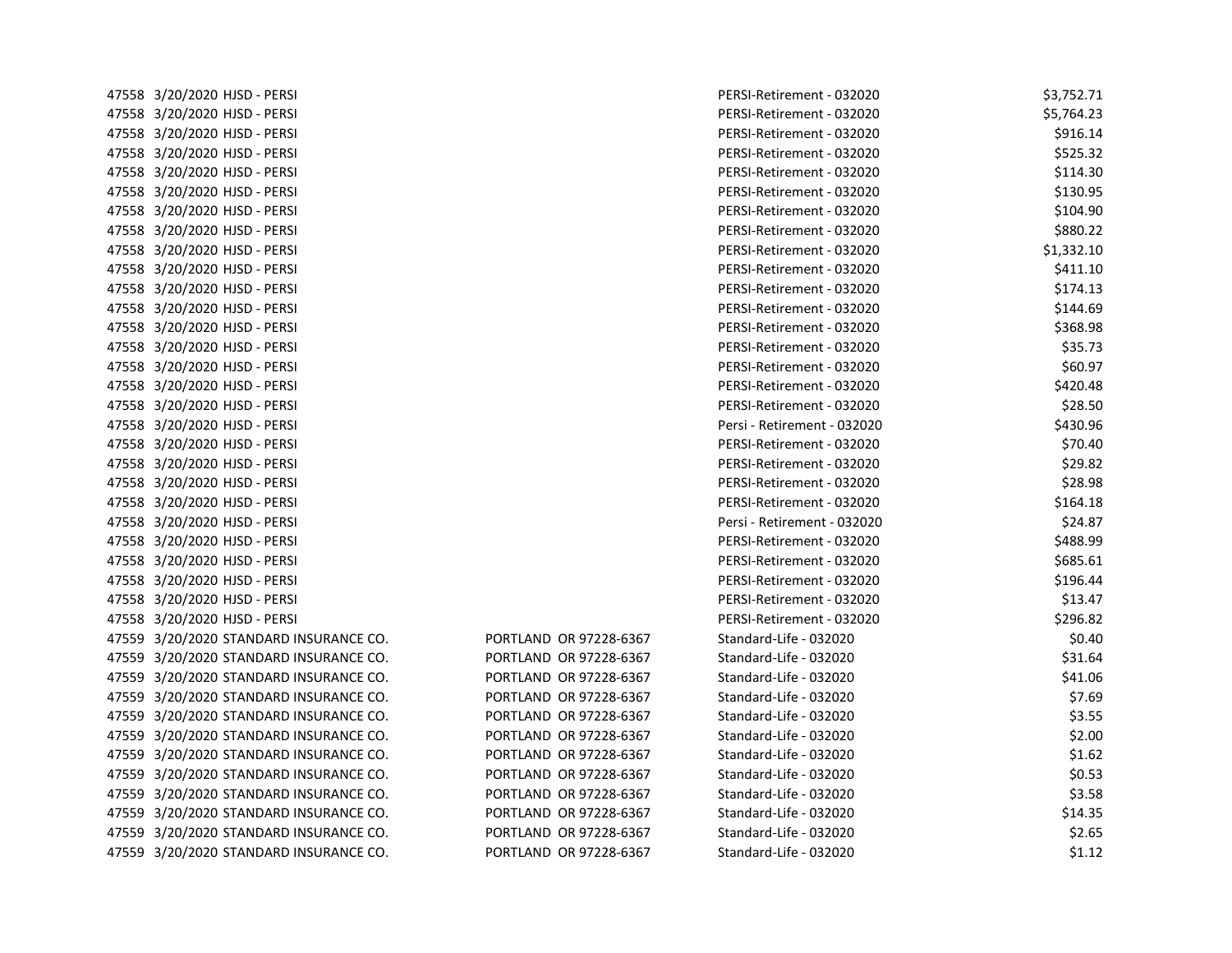| 47558 3/20/2020 HJSD - PERSI           |                        | PERSI-Retirement - 032020   | \$3,752.71 |
|----------------------------------------|------------------------|-----------------------------|------------|
| 47558 3/20/2020 HJSD - PERSI           |                        | PERSI-Retirement - 032020   | \$5,764.23 |
| 47558 3/20/2020 HJSD - PERSI           |                        | PERSI-Retirement - 032020   | \$916.14   |
| 47558 3/20/2020 HJSD - PERSI           |                        | PERSI-Retirement - 032020   | \$525.32   |
| 47558 3/20/2020 HJSD - PERSI           |                        | PERSI-Retirement - 032020   | \$114.30   |
| 47558 3/20/2020 HJSD - PERSI           |                        | PERSI-Retirement - 032020   | \$130.95   |
| 47558 3/20/2020 HJSD - PERSI           |                        | PERSI-Retirement - 032020   | \$104.90   |
| 47558 3/20/2020 HJSD - PERSI           |                        | PERSI-Retirement - 032020   | \$880.22   |
| 47558 3/20/2020 HJSD - PERSI           |                        | PERSI-Retirement - 032020   | \$1,332.10 |
| 47558 3/20/2020 HJSD - PERSI           |                        | PERSI-Retirement - 032020   | \$411.10   |
| 47558 3/20/2020 HJSD - PERSI           |                        | PERSI-Retirement - 032020   | \$174.13   |
| 47558 3/20/2020 HJSD - PERSI           |                        | PERSI-Retirement - 032020   | \$144.69   |
| 47558 3/20/2020 HJSD - PERSI           |                        | PERSI-Retirement - 032020   | \$368.98   |
| 47558 3/20/2020 HJSD - PERSI           |                        | PERSI-Retirement - 032020   | \$35.73    |
| 47558 3/20/2020 HJSD - PERSI           |                        | PERSI-Retirement - 032020   | \$60.97    |
| 47558 3/20/2020 HJSD - PERSI           |                        | PERSI-Retirement - 032020   | \$420.48   |
| 47558 3/20/2020 HJSD - PERSI           |                        | PERSI-Retirement - 032020   | \$28.50    |
| 47558 3/20/2020 HJSD - PERSI           |                        | Persi - Retirement - 032020 | \$430.96   |
| 47558 3/20/2020 HJSD - PERSI           |                        | PERSI-Retirement - 032020   | \$70.40    |
| 47558 3/20/2020 HJSD - PERSI           |                        | PERSI-Retirement - 032020   | \$29.82    |
| 47558 3/20/2020 HJSD - PERSI           |                        | PERSI-Retirement - 032020   | \$28.98    |
| 47558 3/20/2020 HJSD - PERSI           |                        | PERSI-Retirement - 032020   | \$164.18   |
| 47558 3/20/2020 HJSD - PERSI           |                        | Persi - Retirement - 032020 | \$24.87    |
| 47558 3/20/2020 HJSD - PERSI           |                        | PERSI-Retirement - 032020   | \$488.99   |
| 47558 3/20/2020 HJSD - PERSI           |                        | PERSI-Retirement - 032020   | \$685.61   |
| 47558 3/20/2020 HJSD - PERSI           |                        | PERSI-Retirement - 032020   | \$196.44   |
| 47558 3/20/2020 HJSD - PERSI           |                        | PERSI-Retirement - 032020   | \$13.47    |
| 47558 3/20/2020 HJSD - PERSI           |                        | PERSI-Retirement - 032020   | \$296.82   |
| 47559 3/20/2020 STANDARD INSURANCE CO. | PORTLAND OR 97228-6367 | Standard-Life - 032020      | \$0.40     |
| 47559 3/20/2020 STANDARD INSURANCE CO. | PORTLAND OR 97228-6367 | Standard-Life - 032020      | \$31.64    |
| 47559 3/20/2020 STANDARD INSURANCE CO. | PORTLAND OR 97228-6367 | Standard-Life - 032020      | \$41.06    |
| 47559 3/20/2020 STANDARD INSURANCE CO. | PORTLAND OR 97228-6367 | Standard-Life - 032020      | \$7.69     |
| 47559 3/20/2020 STANDARD INSURANCE CO. | PORTLAND OR 97228-6367 | Standard-Life - 032020      | \$3.55     |
| 47559 3/20/2020 STANDARD INSURANCE CO. | PORTLAND OR 97228-6367 | Standard-Life - 032020      | \$2.00     |
| 47559 3/20/2020 STANDARD INSURANCE CO. | PORTLAND OR 97228-6367 | Standard-Life - 032020      | \$1.62     |
| 47559 3/20/2020 STANDARD INSURANCE CO. | PORTLAND OR 97228-6367 | Standard-Life - 032020      | \$0.53     |
| 47559 3/20/2020 STANDARD INSURANCE CO. | PORTLAND OR 97228-6367 | Standard-Life - 032020      | \$3.58     |
| 47559 3/20/2020 STANDARD INSURANCE CO. | PORTLAND OR 97228-6367 | Standard-Life - 032020      | \$14.35    |
| 47559 3/20/2020 STANDARD INSURANCE CO. | PORTLAND OR 97228-6367 | Standard-Life - 032020      | \$2.65     |
| 47559 3/20/2020 STANDARD INSURANCE CO. | PORTLAND OR 97228-6367 | Standard-Life - 032020      | \$1.12     |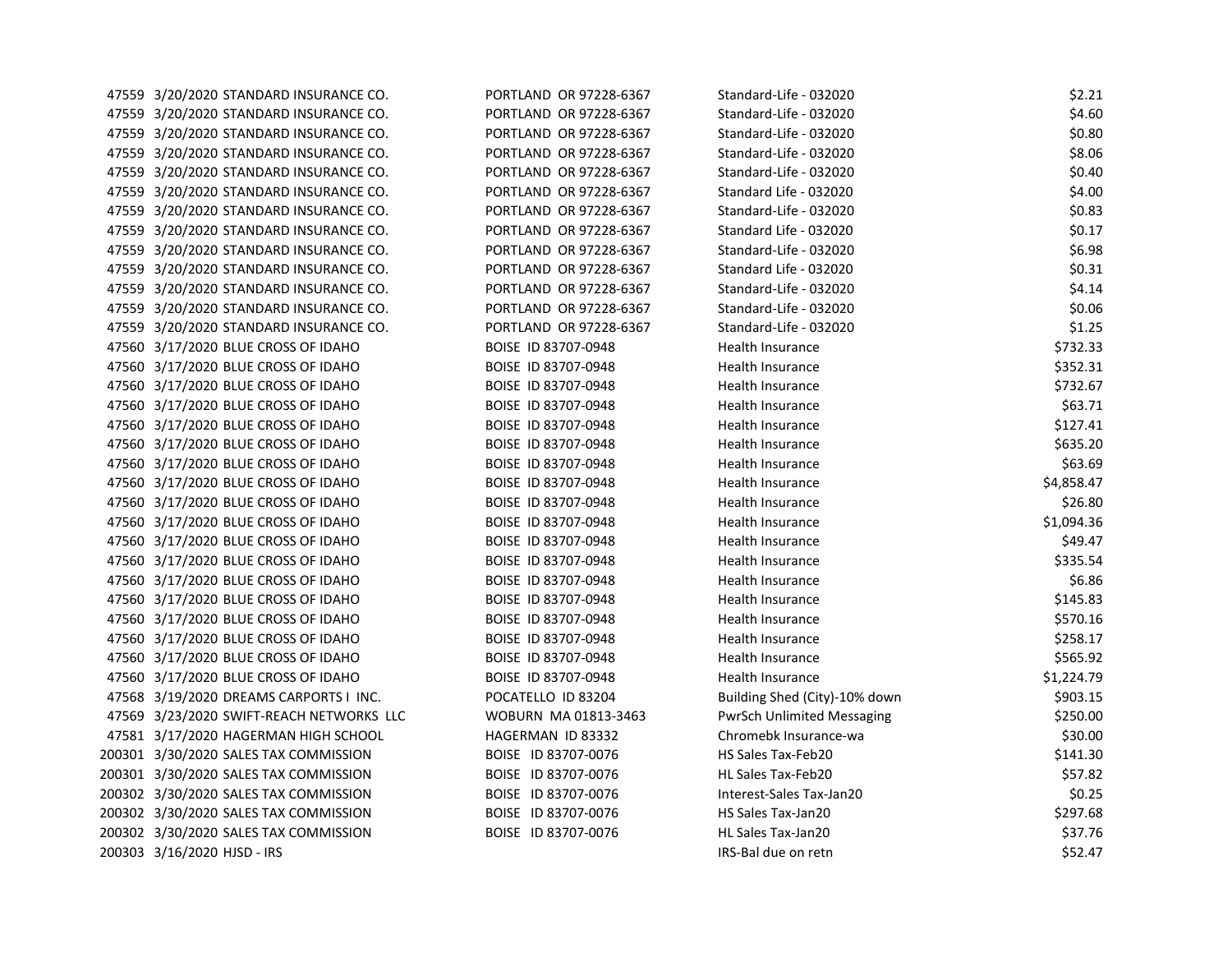| 47559 3/20/2020 STANDARD INSURANCE CO.   | PORTLAND OR 97228-6367 | Standard-Life - 032020            | \$2.21     |
|------------------------------------------|------------------------|-----------------------------------|------------|
| 47559 3/20/2020 STANDARD INSURANCE CO.   | PORTLAND OR 97228-6367 | Standard-Life - 032020            | \$4.60     |
| 47559 3/20/2020 STANDARD INSURANCE CO.   | PORTLAND OR 97228-6367 | Standard-Life - 032020            | \$0.80     |
| 47559 3/20/2020 STANDARD INSURANCE CO.   | PORTLAND OR 97228-6367 | Standard-Life - 032020            | \$8.06     |
| 47559 3/20/2020 STANDARD INSURANCE CO.   | PORTLAND OR 97228-6367 | Standard-Life - 032020            | \$0.40     |
| 47559 3/20/2020 STANDARD INSURANCE CO.   | PORTLAND OR 97228-6367 | Standard Life - 032020            | \$4.00     |
| 47559 3/20/2020 STANDARD INSURANCE CO.   | PORTLAND OR 97228-6367 | Standard-Life - 032020            | \$0.83     |
| 47559 3/20/2020 STANDARD INSURANCE CO.   | PORTLAND OR 97228-6367 | Standard Life - 032020            | \$0.17     |
| 47559 3/20/2020 STANDARD INSURANCE CO.   | PORTLAND OR 97228-6367 | Standard-Life - 032020            | \$6.98     |
| 47559 3/20/2020 STANDARD INSURANCE CO.   | PORTLAND OR 97228-6367 | Standard Life - 032020            | \$0.31     |
| 47559 3/20/2020 STANDARD INSURANCE CO.   | PORTLAND OR 97228-6367 | Standard-Life - 032020            | \$4.14     |
| 47559 3/20/2020 STANDARD INSURANCE CO.   | PORTLAND OR 97228-6367 | Standard-Life - 032020            | \$0.06     |
| 47559 3/20/2020 STANDARD INSURANCE CO.   | PORTLAND OR 97228-6367 | Standard-Life - 032020            | \$1.25     |
| 47560 3/17/2020 BLUE CROSS OF IDAHO      | BOISE ID 83707-0948    | Health Insurance                  | \$732.33   |
| 47560 3/17/2020 BLUE CROSS OF IDAHO      | BOISE ID 83707-0948    | Health Insurance                  | \$352.31   |
| 47560 3/17/2020 BLUE CROSS OF IDAHO      | BOISE ID 83707-0948    | Health Insurance                  | \$732.67   |
| 47560 3/17/2020 BLUE CROSS OF IDAHO      | BOISE ID 83707-0948    | Health Insurance                  | \$63.71    |
| 47560 3/17/2020 BLUE CROSS OF IDAHO      | BOISE ID 83707-0948    | Health Insurance                  | \$127.41   |
| 47560 3/17/2020 BLUE CROSS OF IDAHO      | BOISE ID 83707-0948    | Health Insurance                  | \$635.20   |
| 47560 3/17/2020 BLUE CROSS OF IDAHO      | BOISE ID 83707-0948    | Health Insurance                  | \$63.69    |
| 47560 3/17/2020 BLUE CROSS OF IDAHO      | BOISE ID 83707-0948    | Health Insurance                  | \$4,858.47 |
| 47560 3/17/2020 BLUE CROSS OF IDAHO      | BOISE ID 83707-0948    | Health Insurance                  | \$26.80    |
| 47560 3/17/2020 BLUE CROSS OF IDAHO      | BOISE ID 83707-0948    | Health Insurance                  | \$1,094.36 |
| 47560 3/17/2020 BLUE CROSS OF IDAHO      | BOISE ID 83707-0948    | Health Insurance                  | \$49.47    |
| 47560 3/17/2020 BLUE CROSS OF IDAHO      | BOISE ID 83707-0948    | Health Insurance                  | \$335.54   |
| 47560 3/17/2020 BLUE CROSS OF IDAHO      | BOISE ID 83707-0948    | Health Insurance                  | \$6.86     |
| 47560 3/17/2020 BLUE CROSS OF IDAHO      | BOISE ID 83707-0948    | Health Insurance                  | \$145.83   |
| 47560 3/17/2020 BLUE CROSS OF IDAHO      | BOISE ID 83707-0948    | Health Insurance                  | \$570.16   |
| 47560 3/17/2020 BLUE CROSS OF IDAHO      | BOISE ID 83707-0948    | Health Insurance                  | \$258.17   |
| 47560 3/17/2020 BLUE CROSS OF IDAHO      | BOISE ID 83707-0948    | Health Insurance                  | \$565.92   |
| 47560 3/17/2020 BLUE CROSS OF IDAHO      | BOISE ID 83707-0948    | Health Insurance                  | \$1,224.79 |
| 47568 3/19/2020 DREAMS CARPORTS I INC.   | POCATELLO ID 83204     | Building Shed (City)-10% down     | \$903.15   |
| 47569 3/23/2020 SWIFT-REACH NETWORKS LLC | WOBURN MA 01813-3463   | <b>PwrSch Unlimited Messaging</b> | \$250.00   |
| 47581 3/17/2020 HAGERMAN HIGH SCHOOL     | HAGERMAN ID 83332      | Chromebk Insurance-wa             | \$30.00    |
| 200301 3/30/2020 SALES TAX COMMISSION    | BOISE ID 83707-0076    | HS Sales Tax-Feb20                | \$141.30   |
| 200301 3/30/2020 SALES TAX COMMISSION    | BOISE ID 83707-0076    | HL Sales Tax-Feb20                | \$57.82    |
| 200302 3/30/2020 SALES TAX COMMISSION    | BOISE ID 83707-0076    | Interest-Sales Tax-Jan20          | \$0.25     |
| 200302 3/30/2020 SALES TAX COMMISSION    | BOISE ID 83707-0076    | HS Sales Tax-Jan20                | \$297.68   |
| 200302 3/30/2020 SALES TAX COMMISSION    | BOISE ID 83707-0076    | HL Sales Tax-Jan20                | \$37.76    |
| 200303 3/16/2020 HJSD - IRS              |                        | IRS-Bal due on retn               | \$52.47    |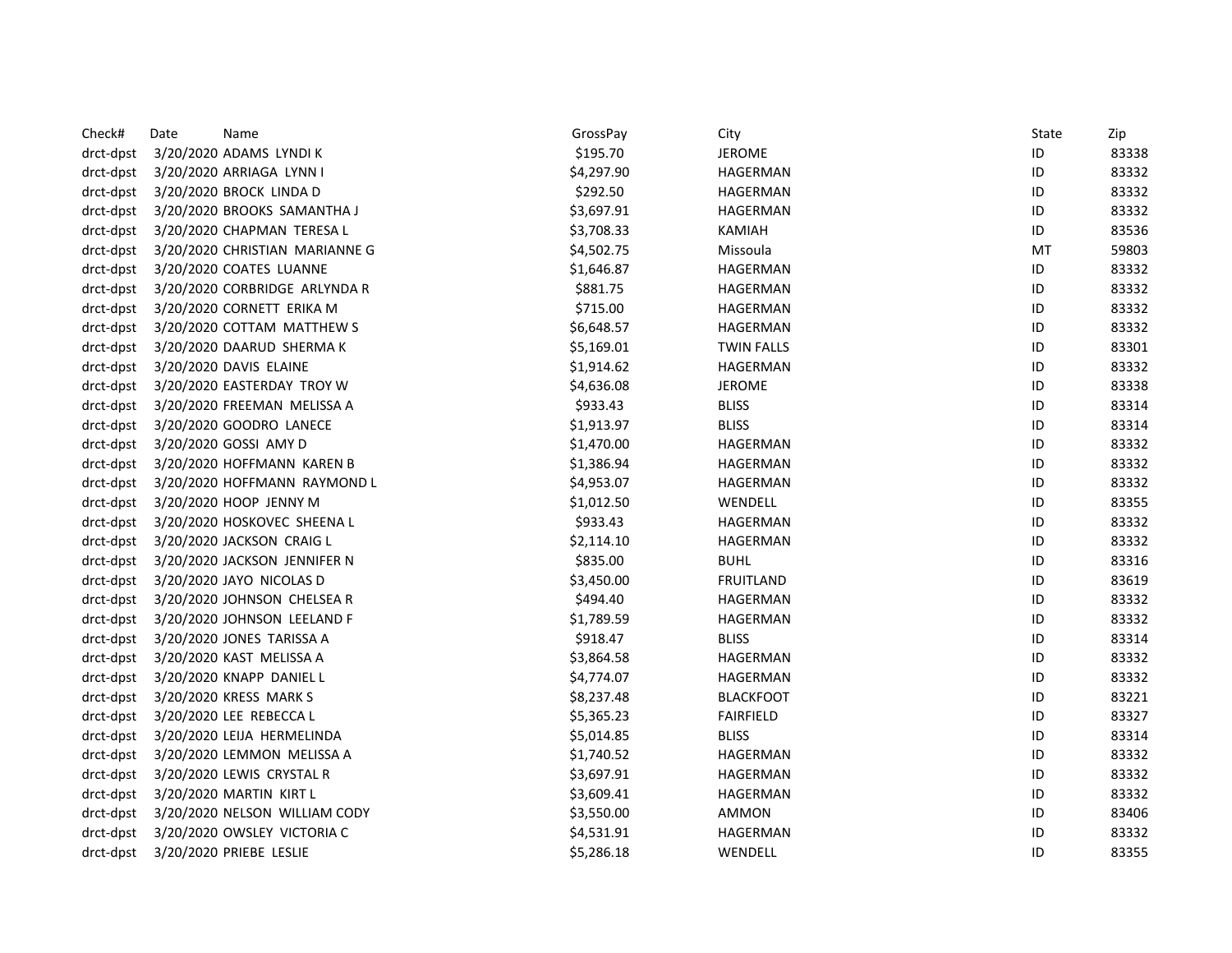| Check#    | Date | Name                           | GrossPay   | City              | State | Zip   |
|-----------|------|--------------------------------|------------|-------------------|-------|-------|
| drct-dpst |      | 3/20/2020 ADAMS LYNDI K        | \$195.70   | <b>JEROME</b>     | ID    | 83338 |
| drct-dpst |      | 3/20/2020 ARRIAGA LYNN I       | \$4,297.90 | HAGERMAN          | ID    | 83332 |
| drct-dpst |      | 3/20/2020 BROCK LINDA D        | \$292.50   | HAGERMAN          | ID    | 83332 |
| drct-dpst |      | 3/20/2020 BROOKS SAMANTHA J    | \$3,697.91 | HAGERMAN          | ID    | 83332 |
| drct-dpst |      | 3/20/2020 CHAPMAN TERESA L     | \$3,708.33 | <b>KAMIAH</b>     | ID    | 83536 |
| drct-dpst |      | 3/20/2020 CHRISTIAN MARIANNE G | \$4,502.75 | Missoula          | MT    | 59803 |
| drct-dpst |      | 3/20/2020 COATES LUANNE        | \$1,646.87 | HAGERMAN          | ID    | 83332 |
| drct-dpst |      | 3/20/2020 CORBRIDGE ARLYNDA R  | \$881.75   | HAGERMAN          | ID    | 83332 |
| drct-dpst |      | 3/20/2020 CORNETT ERIKA M      | \$715.00   | HAGERMAN          | ID    | 83332 |
| drct-dpst |      | 3/20/2020 COTTAM MATTHEW S     | \$6,648.57 | HAGERMAN          | ID    | 83332 |
| drct-dpst |      | 3/20/2020 DAARUD SHERMA K      | \$5,169.01 | <b>TWIN FALLS</b> | ID    | 83301 |
| drct-dpst |      | 3/20/2020 DAVIS ELAINE         | \$1,914.62 | HAGERMAN          | ID    | 83332 |
| drct-dpst |      | 3/20/2020 EASTERDAY TROY W     | \$4,636.08 | <b>JEROME</b>     | ID    | 83338 |
| drct-dpst |      | 3/20/2020 FREEMAN MELISSA A    | \$933.43   | <b>BLISS</b>      | ID    | 83314 |
| drct-dpst |      | 3/20/2020 GOODRO LANECE        | \$1,913.97 | <b>BLISS</b>      | ID    | 83314 |
| drct-dpst |      | 3/20/2020 GOSSI AMY D          | \$1,470.00 | HAGERMAN          | ID    | 83332 |
| drct-dpst |      | 3/20/2020 HOFFMANN KAREN B     | \$1,386.94 | HAGERMAN          | ID    | 83332 |
| drct-dpst |      | 3/20/2020 HOFFMANN RAYMOND L   | \$4,953.07 | HAGERMAN          | ID    | 83332 |
| drct-dpst |      | 3/20/2020 HOOP JENNY M         | \$1,012.50 | WENDELL           | ID    | 83355 |
| drct-dpst |      | 3/20/2020 HOSKOVEC SHEENA L    | \$933.43   | HAGERMAN          | ID    | 83332 |
| drct-dpst |      | 3/20/2020 JACKSON CRAIG L      | \$2,114.10 | HAGERMAN          | ID    | 83332 |
| drct-dpst |      | 3/20/2020 JACKSON JENNIFER N   | \$835.00   | <b>BUHL</b>       | ID    | 83316 |
| drct-dpst |      | 3/20/2020 JAYO NICOLAS D       | \$3,450.00 | <b>FRUITLAND</b>  | ID    | 83619 |
| drct-dpst |      | 3/20/2020 JOHNSON CHELSEA R    | \$494.40   | HAGERMAN          | ID    | 83332 |
| drct-dpst |      | 3/20/2020 JOHNSON LEELAND F    | \$1,789.59 | HAGERMAN          | ID    | 83332 |
| drct-dpst |      | 3/20/2020 JONES TARISSA A      | \$918.47   | <b>BLISS</b>      | ID    | 83314 |
| drct-dpst |      | 3/20/2020 KAST MELISSA A       | \$3,864.58 | HAGERMAN          | ID    | 83332 |
| drct-dpst |      | 3/20/2020 KNAPP DANIEL L       | \$4,774.07 | HAGERMAN          | ID    | 83332 |
| drct-dpst |      | 3/20/2020 KRESS MARK S         | \$8,237.48 | <b>BLACKFOOT</b>  | ID    | 83221 |
| drct-dpst |      | 3/20/2020 LEE REBECCA L        | \$5,365.23 | <b>FAIRFIELD</b>  | ID    | 83327 |
| drct-dpst |      | 3/20/2020 LEIJA HERMELINDA     | \$5,014.85 | <b>BLISS</b>      | ID    | 83314 |
| drct-dpst |      | 3/20/2020 LEMMON MELISSA A     | \$1,740.52 | HAGERMAN          | ID    | 83332 |
| drct-dpst |      | 3/20/2020 LEWIS CRYSTAL R      | \$3,697.91 | HAGERMAN          | ID    | 83332 |
| drct-dpst |      | 3/20/2020 MARTIN KIRT L        | \$3,609.41 | HAGERMAN          | ID    | 83332 |
| drct-dpst |      | 3/20/2020 NELSON WILLIAM CODY  | \$3,550.00 | AMMON             | ID    | 83406 |
| drct-dpst |      | 3/20/2020 OWSLEY VICTORIA C    | \$4,531.91 | HAGERMAN          | ID    | 83332 |
| drct-dpst |      | 3/20/2020 PRIEBE LESLIE        | \$5,286.18 | WENDELL           | ID    | 83355 |